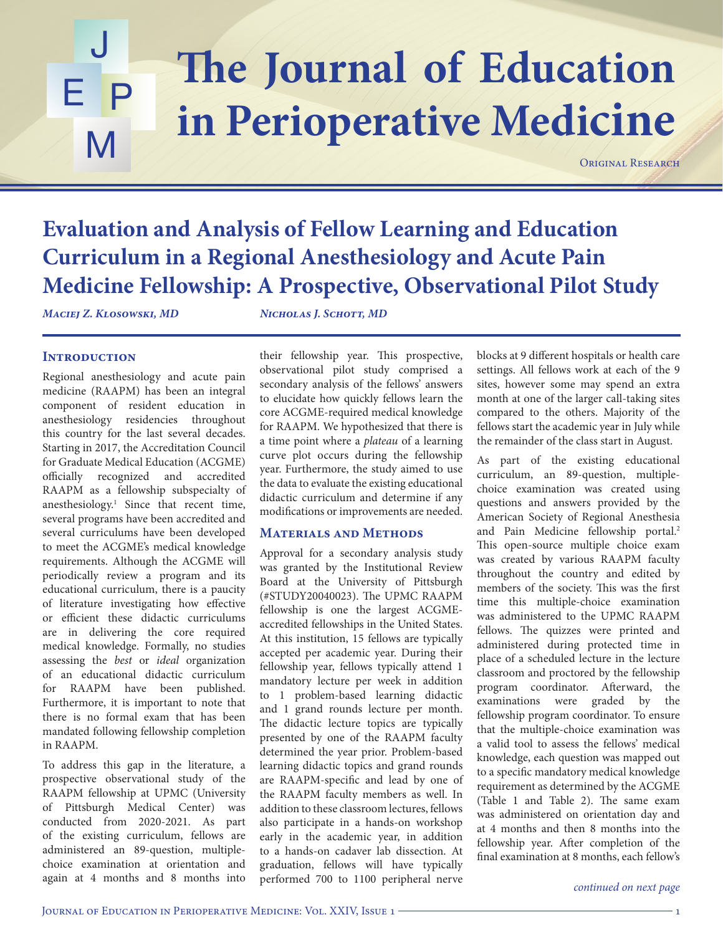### The Journal of Education J E P M **in Perioperative Medicine**

ORIGINAL RESEARCH

### **Evaluation and Analysis of Fellow Learning and Education Curriculum in a Regional Anesthesiology and Acute Pain Medicine Fellowship: A Prospective, Observational Pilot Study**

*Maciej Z. Klosowski, MD Nicholas J. Schott, MD*

### **INTRODUCTION**

Regional anesthesiology and acute pain medicine (RAAPM) has been an integral component of resident education in anesthesiology residencies throughout this country for the last several decades. Starting in 2017, the Accreditation Council for Graduate Medical Education (ACGME) officially recognized and accredited RAAPM as a fellowship subspecialty of anesthesiology.1 Since that recent time, several programs have been accredited and several curriculums have been developed to meet the ACGME's medical knowledge requirements. Although the ACGME will periodically review a program and its educational curriculum, there is a paucity of literature investigating how effective or efficient these didactic curriculums are in delivering the core required medical knowledge. Formally, no studies assessing the *best* or *ideal* organization of an educational didactic curriculum for RAAPM have been published. Furthermore, it is important to note that there is no formal exam that has been mandated following fellowship completion in RAAPM.

To address this gap in the literature, a prospective observational study of the RAAPM fellowship at UPMC (University of Pittsburgh Medical Center) was conducted from 2020-2021. As part of the existing curriculum, fellows are administered an 89-question, multiplechoice examination at orientation and again at 4 months and 8 months into

their fellowship year. This prospective, observational pilot study comprised a secondary analysis of the fellows' answers to elucidate how quickly fellows learn the core ACGME-required medical knowledge for RAAPM. We hypothesized that there is a time point where a *plateau* of a learning curve plot occurs during the fellowship year. Furthermore, the study aimed to use the data to evaluate the existing educational didactic curriculum and determine if any modifications or improvements are needed.

### **Materials and Methods**

Approval for a secondary analysis study was granted by the Institutional Review Board at the University of Pittsburgh (#STUDY20040023). The UPMC RAAPM fellowship is one the largest ACGMEaccredited fellowships in the United States. At this institution, 15 fellows are typically accepted per academic year. During their fellowship year, fellows typically attend 1 mandatory lecture per week in addition to 1 problem-based learning didactic and 1 grand rounds lecture per month. The didactic lecture topics are typically presented by one of the RAAPM faculty determined the year prior. Problem-based learning didactic topics and grand rounds are RAAPM-specific and lead by one of the RAAPM faculty members as well. In addition to these classroom lectures, fellows also participate in a hands-on workshop early in the academic year, in addition to a hands-on cadaver lab dissection. At graduation, fellows will have typically performed 700 to 1100 peripheral nerve blocks at 9 different hospitals or health care settings. All fellows work at each of the 9 sites, however some may spend an extra month at one of the larger call-taking sites compared to the others. Majority of the fellows start the academic year in July while the remainder of the class start in August.

As part of the existing educational curriculum, an 89-question, multiplechoice examination was created using questions and answers provided by the American Society of Regional Anesthesia and Pain Medicine fellowship portal.<sup>2</sup> This open-source multiple choice exam was created by various RAAPM faculty throughout the country and edited by members of the society. This was the first time this multiple-choice examination was administered to the UPMC RAAPM fellows. The quizzes were printed and administered during protected time in place of a scheduled lecture in the lecture classroom and proctored by the fellowship program coordinator. Afterward, the examinations were graded by the fellowship program coordinator. To ensure that the multiple-choice examination was a valid tool to assess the fellows' medical knowledge, each question was mapped out to a specific mandatory medical knowledge requirement as determined by the ACGME (Table 1 and Table 2). The same exam was administered on orientation day and at 4 months and then 8 months into the fellowship year. After completion of the final examination at 8 months, each fellow's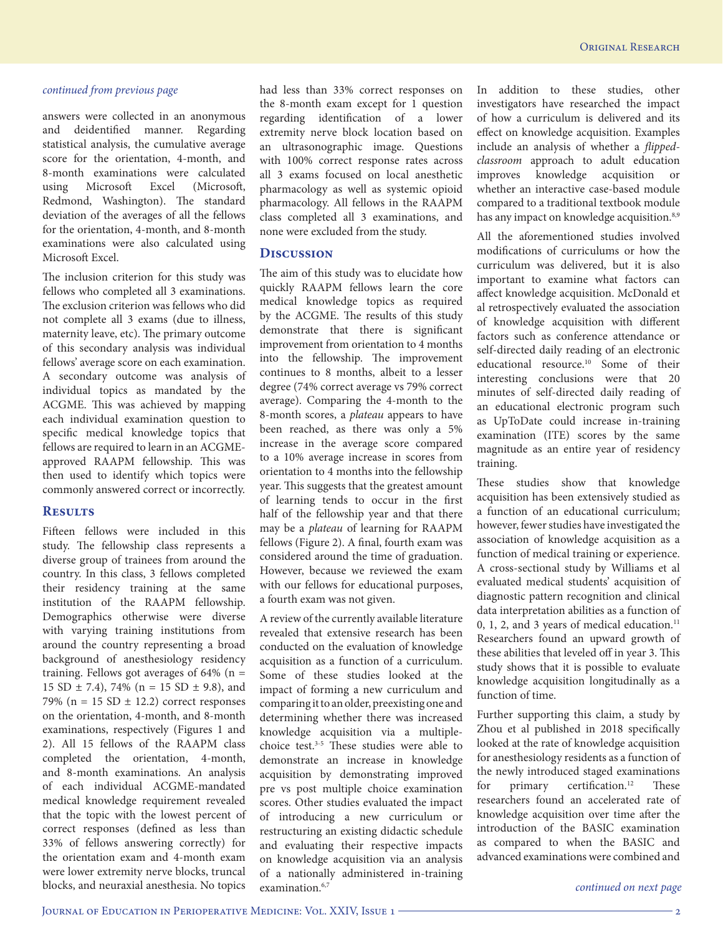answers were collected in an anonymous and deidentified manner. Regarding statistical analysis, the cumulative average score for the orientation, 4-month, and 8-month examinations were calculated using Microsoft Excel (Microsoft, Redmond, Washington). The standard deviation of the averages of all the fellows for the orientation, 4-month, and 8-month examinations were also calculated using Microsoft Excel.

The inclusion criterion for this study was fellows who completed all 3 examinations. The exclusion criterion was fellows who did not complete all 3 exams (due to illness, maternity leave, etc). The primary outcome of this secondary analysis was individual fellows' average score on each examination. A secondary outcome was analysis of individual topics as mandated by the ACGME. This was achieved by mapping each individual examination question to specific medical knowledge topics that fellows are required to learn in an ACGMEapproved RAAPM fellowship. This was then used to identify which topics were commonly answered correct or incorrectly.

#### **Results**

Fifteen fellows were included in this study. The fellowship class represents a diverse group of trainees from around the country. In this class, 3 fellows completed their residency training at the same institution of the RAAPM fellowship. Demographics otherwise were diverse with varying training institutions from around the country representing a broad background of anesthesiology residency training. Fellows got averages of  $64\%$  (n = 15 SD  $\pm$  7.4), 74% (n = 15 SD  $\pm$  9.8), and 79% ( $n = 15$  SD  $\pm$  12.2) correct responses on the orientation, 4-month, and 8-month examinations, respectively (Figures 1 and 2). All 15 fellows of the RAAPM class completed the orientation, 4-month, and 8-month examinations. An analysis of each individual ACGME-mandated medical knowledge requirement revealed that the topic with the lowest percent of correct responses (defined as less than 33% of fellows answering correctly) for the orientation exam and 4-month exam were lower extremity nerve blocks, truncal blocks, and neuraxial anesthesia. No topics

had less than 33% correct responses on the 8-month exam except for 1 question regarding identification of a lower extremity nerve block location based on an ultrasonographic image. Questions with 100% correct response rates across all 3 exams focused on local anesthetic pharmacology as well as systemic opioid pharmacology. All fellows in the RAAPM class completed all 3 examinations, and none were excluded from the study.

#### **Discussion**

The aim of this study was to elucidate how quickly RAAPM fellows learn the core medical knowledge topics as required by the ACGME. The results of this study demonstrate that there is significant improvement from orientation to 4 months into the fellowship. The improvement continues to 8 months, albeit to a lesser degree (74% correct average vs 79% correct average). Comparing the 4-month to the 8-month scores, a *plateau* appears to have been reached, as there was only a 5% increase in the average score compared to a 10% average increase in scores from orientation to 4 months into the fellowship year. This suggests that the greatest amount of learning tends to occur in the first half of the fellowship year and that there may be a *plateau* of learning for RAAPM fellows (Figure 2). A final, fourth exam was considered around the time of graduation. However, because we reviewed the exam with our fellows for educational purposes, a fourth exam was not given.

A review of the currently available literature revealed that extensive research has been conducted on the evaluation of knowledge acquisition as a function of a curriculum. Some of these studies looked at the impact of forming a new curriculum and comparing it to an older, preexisting one and determining whether there was increased knowledge acquisition via a multiplechoice test. $3-5$  These studies were able to demonstrate an increase in knowledge acquisition by demonstrating improved pre vs post multiple choice examination scores. Other studies evaluated the impact of introducing a new curriculum or restructuring an existing didactic schedule and evaluating their respective impacts on knowledge acquisition via an analysis of a nationally administered in-training examination.<sup>6,7</sup>

In addition to these studies, other investigators have researched the impact of how a curriculum is delivered and its effect on knowledge acquisition. Examples include an analysis of whether a *flippedclassroom* approach to adult education improves knowledge acquisition or whether an interactive case-based module compared to a traditional textbook module has any impact on knowledge acquisition.<sup>8,9</sup>

All the aforementioned studies involved modifications of curriculums or how the curriculum was delivered, but it is also important to examine what factors can affect knowledge acquisition. McDonald et al retrospectively evaluated the association of knowledge acquisition with different factors such as conference attendance or self-directed daily reading of an electronic educational resource.10 Some of their interesting conclusions were that 20 minutes of self-directed daily reading of an educational electronic program such as UpToDate could increase in-training examination (ITE) scores by the same magnitude as an entire year of residency training.

These studies show that knowledge acquisition has been extensively studied as a function of an educational curriculum; however, fewer studies have investigated the association of knowledge acquisition as a function of medical training or experience. A cross-sectional study by Williams et al evaluated medical students' acquisition of diagnostic pattern recognition and clinical data interpretation abilities as a function of 0, 1, 2, and 3 years of medical education. $11$ Researchers found an upward growth of these abilities that leveled off in year 3. This study shows that it is possible to evaluate knowledge acquisition longitudinally as a function of time.

Further supporting this claim, a study by Zhou et al published in 2018 specifically looked at the rate of knowledge acquisition for anesthesiology residents as a function of the newly introduced staged examinations for primary certification.<sup>12</sup> These researchers found an accelerated rate of knowledge acquisition over time after the introduction of the BASIC examination as compared to when the BASIC and advanced examinations were combined and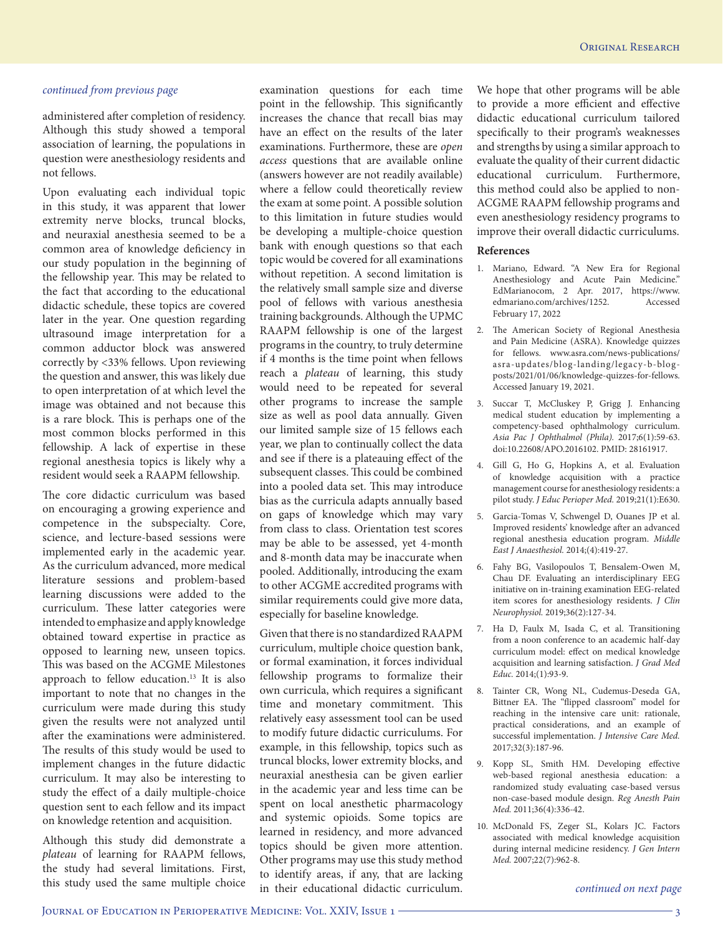administered after completion of residency. Although this study showed a temporal association of learning, the populations in question were anesthesiology residents and not fellows.

Upon evaluating each individual topic in this study, it was apparent that lower extremity nerve blocks, truncal blocks, and neuraxial anesthesia seemed to be a common area of knowledge deficiency in our study population in the beginning of the fellowship year. This may be related to the fact that according to the educational didactic schedule, these topics are covered later in the year. One question regarding ultrasound image interpretation for a common adductor block was answered correctly by <33% fellows. Upon reviewing the question and answer, this was likely due to open interpretation of at which level the image was obtained and not because this is a rare block. This is perhaps one of the most common blocks performed in this fellowship. A lack of expertise in these regional anesthesia topics is likely why a resident would seek a RAAPM fellowship.

The core didactic curriculum was based on encouraging a growing experience and competence in the subspecialty. Core, science, and lecture-based sessions were implemented early in the academic year. As the curriculum advanced, more medical literature sessions and problem-based learning discussions were added to the curriculum. These latter categories were intended to emphasize and apply knowledge obtained toward expertise in practice as opposed to learning new, unseen topics. This was based on the ACGME Milestones approach to fellow education.<sup>13</sup> It is also important to note that no changes in the curriculum were made during this study given the results were not analyzed until after the examinations were administered. The results of this study would be used to implement changes in the future didactic curriculum. It may also be interesting to study the effect of a daily multiple-choice question sent to each fellow and its impact on knowledge retention and acquisition.

Although this study did demonstrate a *plateau* of learning for RAAPM fellows, the study had several limitations. First, this study used the same multiple choice

examination questions for each time point in the fellowship. This significantly increases the chance that recall bias may have an effect on the results of the later examinations. Furthermore, these are *open access* questions that are available online (answers however are not readily available) where a fellow could theoretically review the exam at some point. A possible solution to this limitation in future studies would be developing a multiple-choice question bank with enough questions so that each topic would be covered for all examinations without repetition. A second limitation is the relatively small sample size and diverse pool of fellows with various anesthesia training backgrounds. Although the UPMC RAAPM fellowship is one of the largest programs in the country, to truly determine if 4 months is the time point when fellows reach a *plateau* of learning, this study would need to be repeated for several other programs to increase the sample size as well as pool data annually. Given our limited sample size of 15 fellows each year, we plan to continually collect the data and see if there is a plateauing effect of the subsequent classes. This could be combined into a pooled data set. This may introduce bias as the curricula adapts annually based on gaps of knowledge which may vary from class to class. Orientation test scores may be able to be assessed, yet 4-month and 8-month data may be inaccurate when pooled. Additionally, introducing the exam to other ACGME accredited programs with similar requirements could give more data, especially for baseline knowledge.

Given that there is no standardized RAAPM curriculum, multiple choice question bank, or formal examination, it forces individual fellowship programs to formalize their own curricula, which requires a significant time and monetary commitment. This relatively easy assessment tool can be used to modify future didactic curriculums. For example, in this fellowship, topics such as truncal blocks, lower extremity blocks, and neuraxial anesthesia can be given earlier in the academic year and less time can be spent on local anesthetic pharmacology and systemic opioids. Some topics are learned in residency, and more advanced topics should be given more attention. Other programs may use this study method to identify areas, if any, that are lacking in their educational didactic curriculum.

We hope that other programs will be able to provide a more efficient and effective didactic educational curriculum tailored specifically to their program's weaknesses and strengths by using a similar approach to evaluate the quality of their current didactic educational curriculum. Furthermore, this method could also be applied to non-ACGME RAAPM fellowship programs and even anesthesiology residency programs to improve their overall didactic curriculums.

#### **References**

- 1. Mariano, Edward. "A New Era for Regional Anesthesiology and Acute Pain Medicine." EdMarianocom, 2 Apr. 2017, https://www. edmariano.com/archives/1252. Accessed February 17, 2022
- 2. The American Society of Regional Anesthesia and Pain Medicine (ASRA). Knowledge quizzes for fellows. www.asra.com/news-publications/ asra-updates/blog-landing/legacy-b-blogposts/2021/01/06/knowledge-quizzes-for-fellows. Accessed January 19, 2021.
- 3. Succar T, McCluskey P, Grigg J. Enhancing medical student education by implementing a competency-based ophthalmology curriculum. *Asia Pac J Ophthalmol (Phila).* 2017;6(1):59-63. doi:10.22608/APO.2016102. PMID: 28161917.
- 4. Gill G, Ho G, Hopkins A, et al. Evaluation of knowledge acquisition with a practice management course for anesthesiology residents: a pilot study. *J Educ Perioper Med.* 2019;21(1):E630.
- 5. Garcia-Tomas V, Schwengel D, Ouanes JP et al. Improved residents' knowledge after an advanced regional anesthesia education program. *Middle East J Anaesthesiol.* 2014;(4):419-27.
- 6. Fahy BG, Vasilopoulos T, Bensalem-Owen M, Chau DF. Evaluating an interdisciplinary EEG initiative on in-training examination EEG-related item scores for anesthesiology residents. *J Clin Neurophysiol.* 2019;36(2):127-34.
- 7. Ha D, Faulx M, Isada C, et al. Transitioning from a noon conference to an academic half-day curriculum model: effect on medical knowledge acquisition and learning satisfaction. *J Grad Med Educ.* 2014;(1):93-9.
- 8. Tainter CR, Wong NL, Cudemus-Deseda GA, Bittner EA. The "flipped classroom" model for reaching in the intensive care unit: rationale, practical considerations, and an example of successful implementation. *J Intensive Care Med.* 2017;32(3):187-96.
- 9. Kopp SL, Smith HM. Developing effective web-based regional anesthesia education: a randomized study evaluating case-based versus non-case-based module design. *Reg Anesth Pain Med.* 2011;36(4):336-42.
- 10. McDonald FS, Zeger SL, Kolars JC. Factors associated with medical knowledge acquisition during internal medicine residency. *J Gen Intern Med.* 2007;22(7):962-8.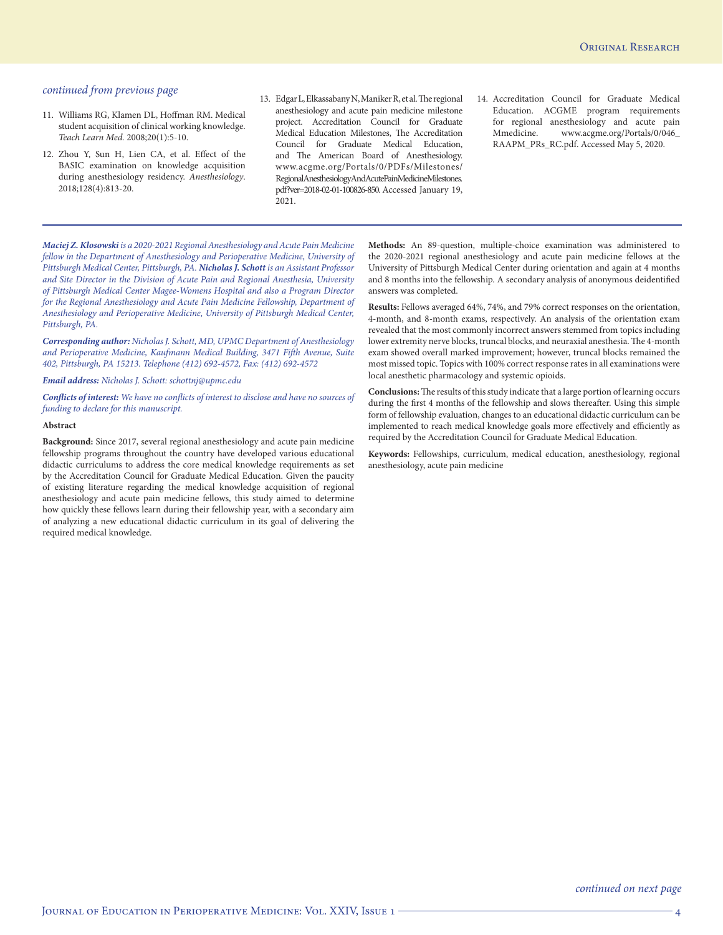- 11. Williams RG, Klamen DL, Hoffman RM. Medical student acquisition of clinical working knowledge. *Teach Learn Med.* 2008;20(1):5-10.
- 12. Zhou Y, Sun H, Lien CA, et al. Effect of the BASIC examination on knowledge acquisition during anesthesiology residency. *Anesthesiology*. 2018;128(4):813-20.
- 13. Edgar L, Elkassabany N, Maniker R, et al. The regional anesthesiology and acute pain medicine milestone project. Accreditation Council for Graduate Medical Education Milestones, The Accreditation Council for Graduate Medical Education, and The American Board of Anesthesiology. www.acgme.org/Portals/0/PDFs/Milestones/ RegionalAnesthesiologyAndAcutePainMedicineMilestones. pdf?ver=2018-02-01-100826-850. Accessed January 19, 2021.
- 14. Accreditation Council for Graduate Medical Education. ACGME program requirements for regional anesthesiology and acute pain Mmedicine. www.acgme.org/Portals/0/046\_ RAAPM\_PRs\_RC.pdf. Accessed May 5, 2020.

*Maciej Z. Klosowski is a 2020-2021 Regional Anesthesiology and Acute Pain Medicine fellow in the Department of Anesthesiology and Perioperative Medicine, University of Pittsburgh Medical Center, Pittsburgh, PA. Nicholas J. Schott is an Assistant Professor and Site Director in the Division of Acute Pain and Regional Anesthesia, University of Pittsburgh Medical Center Magee-Womens Hospital and also a Program Director for the Regional Anesthesiology and Acute Pain Medicine Fellowship, Department of Anesthesiology and Perioperative Medicine, University of Pittsburgh Medical Center, Pittsburgh, PA.*

*Corresponding author: Nicholas J. Schott, MD, UPMC Department of Anesthesiology and Perioperative Medicine, Kaufmann Medical Building, 3471 Fifth Avenue, Suite 402, Pittsburgh, PA 15213. Telephone (412) 692-4572, Fax: (412) 692-4572*

*Email address: Nicholas J. Schott: schottnj@upmc.edu*

*Conflicts of interest: We have no conflicts of interest to disclose and have no sources of funding to declare for this manuscript.*

#### **Abstract**

**Background:** Since 2017, several regional anesthesiology and acute pain medicine fellowship programs throughout the country have developed various educational didactic curriculums to address the core medical knowledge requirements as set by the Accreditation Council for Graduate Medical Education. Given the paucity of existing literature regarding the medical knowledge acquisition of regional anesthesiology and acute pain medicine fellows, this study aimed to determine how quickly these fellows learn during their fellowship year, with a secondary aim of analyzing a new educational didactic curriculum in its goal of delivering the required medical knowledge.

**Methods:** An 89-question, multiple-choice examination was administered to the 2020-2021 regional anesthesiology and acute pain medicine fellows at the University of Pittsburgh Medical Center during orientation and again at 4 months and 8 months into the fellowship. A secondary analysis of anonymous deidentified answers was completed.

**Results:** Fellows averaged 64%, 74%, and 79% correct responses on the orientation, 4-month, and 8-month exams, respectively. An analysis of the orientation exam revealed that the most commonly incorrect answers stemmed from topics including lower extremity nerve blocks, truncal blocks, and neuraxial anesthesia. The 4-month exam showed overall marked improvement; however, truncal blocks remained the most missed topic. Topics with 100% correct response rates in all examinations were local anesthetic pharmacology and systemic opioids.

**Conclusions:** The results of this study indicate that a large portion of learning occurs during the first 4 months of the fellowship and slows thereafter. Using this simple form of fellowship evaluation, changes to an educational didactic curriculum can be implemented to reach medical knowledge goals more effectively and efficiently as required by the Accreditation Council for Graduate Medical Education.

**Keywords:** Fellowships, curriculum, medical education, anesthesiology, regional anesthesiology, acute pain medicine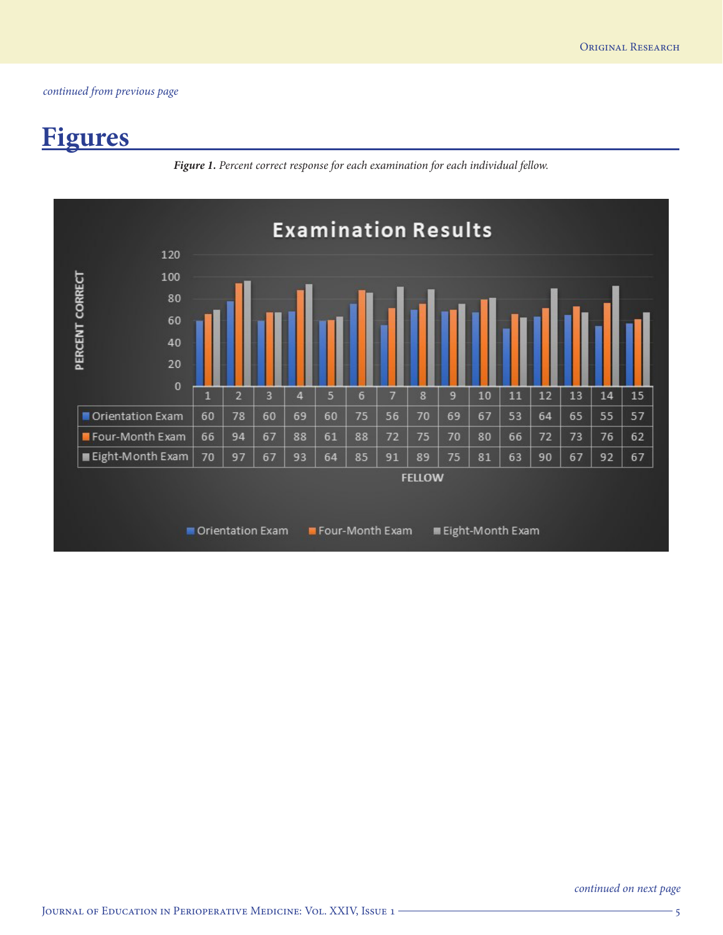# **Figures**

*Figure 1. Percent correct response for each examination for each individual fellow.*

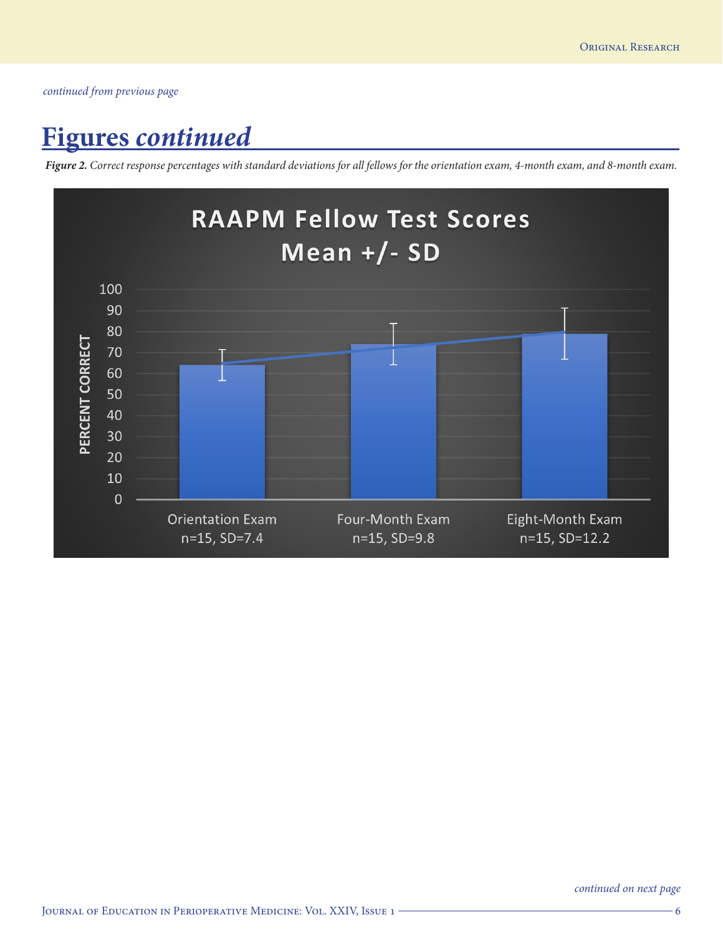## **Figures** *continued*

*Figure 2. Correct response percentages with standard deviations for all fellows for the orientation exam, 4-month exam, and 8-month exam.*

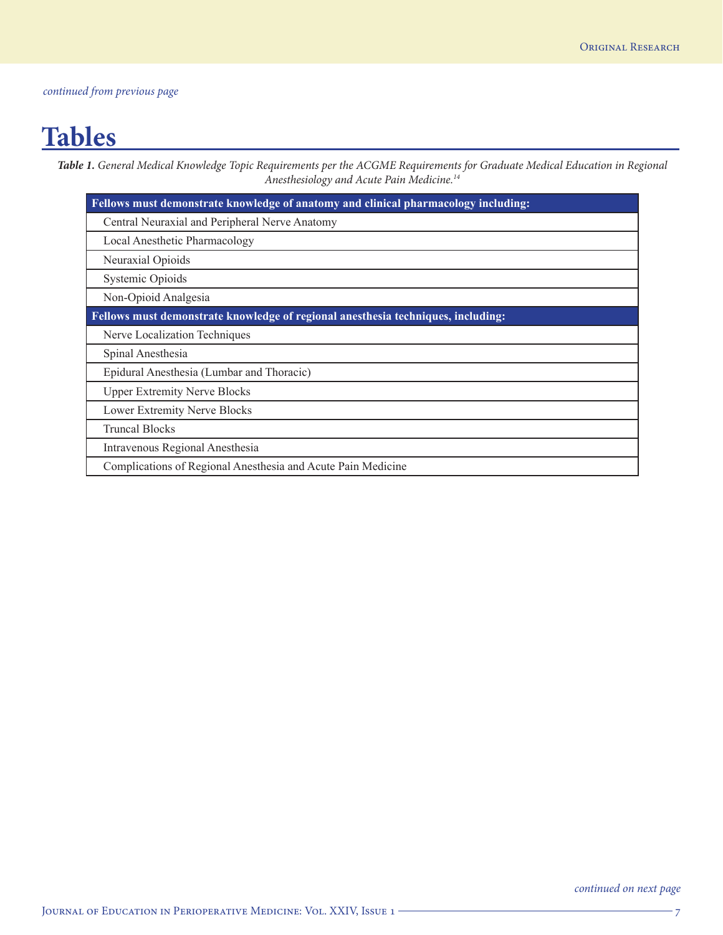## **Tables**

*Table 1. General Medical Knowledge Topic Requirements per the ACGME Requirements for Graduate Medical Education in Regional Anesthesiology and Acute Pain Medicine.14*

| Fellows must demonstrate knowledge of anatomy and clinical pharmacology including: |  |  |
|------------------------------------------------------------------------------------|--|--|
| Central Neuraxial and Peripheral Nerve Anatomy                                     |  |  |
| Local Anesthetic Pharmacology                                                      |  |  |
| Neuraxial Opioids                                                                  |  |  |
| Systemic Opioids                                                                   |  |  |
| Non-Opioid Analgesia                                                               |  |  |
| Fellows must demonstrate knowledge of regional anesthesia techniques, including:   |  |  |
| Nerve Localization Techniques                                                      |  |  |
| Spinal Anesthesia                                                                  |  |  |
| Epidural Anesthesia (Lumbar and Thoracic)                                          |  |  |
| <b>Upper Extremity Nerve Blocks</b>                                                |  |  |
| Lower Extremity Nerve Blocks                                                       |  |  |
| <b>Truncal Blocks</b>                                                              |  |  |
| Intravenous Regional Anesthesia                                                    |  |  |
| Complications of Regional Anesthesia and Acute Pain Medicine                       |  |  |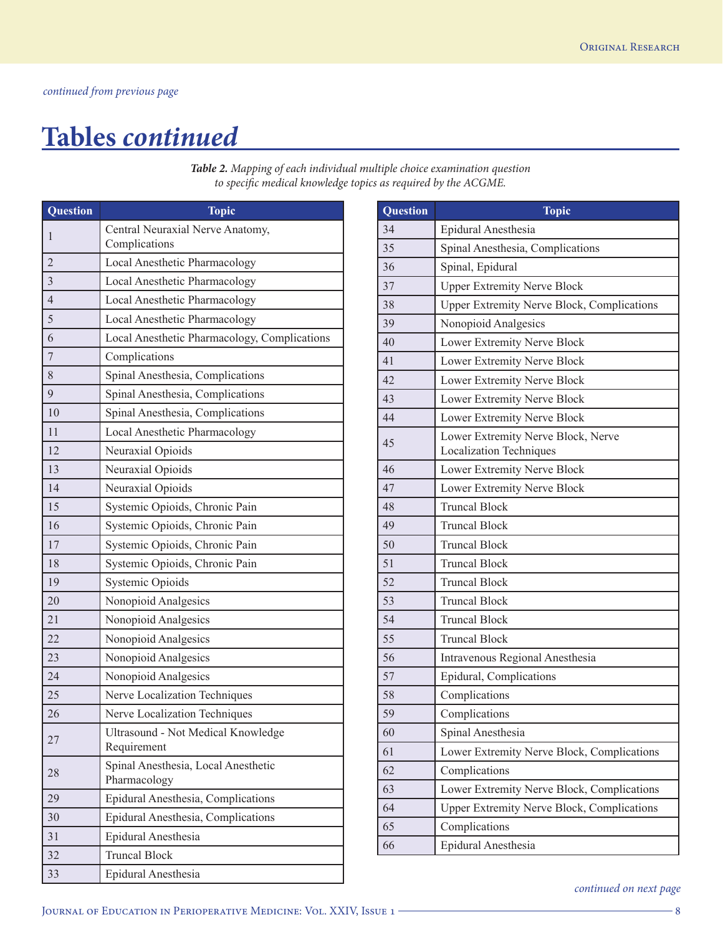## **Tables** *continued*

| <b>Question</b> | <b>Topic</b>                                        |
|-----------------|-----------------------------------------------------|
| 1               | Central Neuraxial Nerve Anatomy,<br>Complications   |
| $\overline{2}$  | Local Anesthetic Pharmacology                       |
| $\overline{3}$  | Local Anesthetic Pharmacology                       |
| $\overline{4}$  | Local Anesthetic Pharmacology                       |
| 5               | Local Anesthetic Pharmacology                       |
| 6               | Local Anesthetic Pharmacology, Complications        |
| 7               | Complications                                       |
| 8               | Spinal Anesthesia, Complications                    |
| 9               | Spinal Anesthesia, Complications                    |
| 10              | Spinal Anesthesia, Complications                    |
| 11              | Local Anesthetic Pharmacology                       |
| 12              | Neuraxial Opioids                                   |
| 13              | Neuraxial Opioids                                   |
| 14              | Neuraxial Opioids                                   |
| 15              | Systemic Opioids, Chronic Pain                      |
| 16              | Systemic Opioids, Chronic Pain                      |
| 17              | Systemic Opioids, Chronic Pain                      |
| 18              | Systemic Opioids, Chronic Pain                      |
| 19              | Systemic Opioids                                    |
| 20              | Nonopioid Analgesics                                |
| 21              | Nonopioid Analgesics                                |
| 22              | Nonopioid Analgesics                                |
| 23              | Nonopioid Analgesics                                |
| 24              | Nonopioid Analgesics                                |
| 25              | Nerve Localization Techniques                       |
| 26              | Nerve Localization Techniques                       |
| 27              | Ultrasound - Not Medical Knowledge<br>Requirement   |
| 28              | Spinal Anesthesia, Local Anesthetic<br>Pharmacology |
| 29              | Epidural Anesthesia, Complications                  |
| 30              | Epidural Anesthesia, Complications                  |
| 31              | Epidural Anesthesia                                 |
| 32              | <b>Truncal Block</b>                                |
| 33              | Epidural Anesthesia                                 |

*Table 2. Mapping of each individual multiple choice examination question to specific medical knowledge topics as required by the ACGME.* 

| <b>Question</b> | <b>Topic</b>                                                  |
|-----------------|---------------------------------------------------------------|
| 34              | Epidural Anesthesia                                           |
| 35              | Spinal Anesthesia, Complications                              |
| 36              | Spinal, Epidural                                              |
| 37              | <b>Upper Extremity Nerve Block</b>                            |
| 38              | Upper Extremity Nerve Block, Complications                    |
| 39              | Nonopioid Analgesics                                          |
| 40              | Lower Extremity Nerve Block                                   |
| 41              | Lower Extremity Nerve Block                                   |
| 42              | Lower Extremity Nerve Block                                   |
| 43              | Lower Extremity Nerve Block                                   |
| 44              | Lower Extremity Nerve Block                                   |
| 45              | Lower Extremity Nerve Block, Nerve<br>Localization Techniques |
| 46              | Lower Extremity Nerve Block                                   |
| 47              | Lower Extremity Nerve Block                                   |
| 48              | <b>Truncal Block</b>                                          |
| 49              | <b>Truncal Block</b>                                          |
| 50              | <b>Truncal Block</b>                                          |
| 51              | <b>Truncal Block</b>                                          |
| 52              | <b>Truncal Block</b>                                          |
| 53              | <b>Truncal Block</b>                                          |
| 54              | <b>Truncal Block</b>                                          |
| 55              | <b>Truncal Block</b>                                          |
| 56              | Intravenous Regional Anesthesia                               |
| 57              | Epidural, Complications                                       |
| 58              | Complications                                                 |
| 59              | Complications                                                 |
| 60              | Spinal Anesthesia                                             |
| 61              | Lower Extremity Nerve Block, Complications                    |
| 62              | Complications                                                 |
| 63              | Lower Extremity Nerve Block, Complications                    |
| 64              | <b>Upper Extremity Nerve Block, Complications</b>             |
| 65              | Complications                                                 |
| 66              | Epidural Anesthesia                                           |